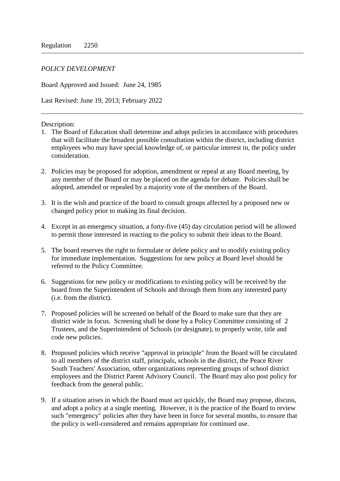## *POLICY DEVELOPMENT*

Board Approved and Issued: June 24, 1985

Last Revised: June 19, 2013; February 2022

## Description:

- 1. The Board of Education shall determine and adopt policies in accordance with procedures that will facilitate the broadest possible consultation within the district, including district employees who may have special knowledge of, or particular interest in, the policy under consideration.
- 2. Policies may be proposed for adoption, amendment or repeal at any Board meeting, by any member of the Board or may be placed on the agenda for debate. Policies shall be adopted, amended or repealed by a majority vote of the members of the Board.
- 3. It is the wish and practice of the board to consult groups affected by a proposed new or changed policy prior to making its final decision.
- 4. Except in an emergency situation, a forty-five (45) day circulation period will be allowed to permit those interested in reacting to the policy to submit their ideas to the Board.
- 5. The board reserves the right to formulate or delete policy and to modify existing policy for immediate implementation. Suggestions for new policy at Board level should be referred to the Policy Committee.
- 6. Suggestions for new policy or modifications to existing policy will be received by the board from the Superintendent of Schools and through them from any interested party (i.e. from the district).
- 7. Proposed policies will be screened on behalf of the Board to make sure that they are district wide in focus. Screening shall be done by a Policy Committee consisting of 2 Trustees, and the Superintendent of Schools (or designate), to properly write, title and code new policies.
- 8. Proposed policies which receive "approval in principle" from the Board will be circulated to all members of the district staff, principals, schools in the district, the Peace River South Teachers' Association, other organizations representing groups of school district employees and the District Parent Advisory Council. The Board may also post policy for feedback from the general public.
- 9. If a situation arises in which the Board must act quickly, the Board may propose, discuss, and adopt a policy at a single meeting. However, it is the practice of the Board to review such "emergency" policies after they have been in force for several months, to ensure that the policy is well-considered and remains appropriate for continued use.